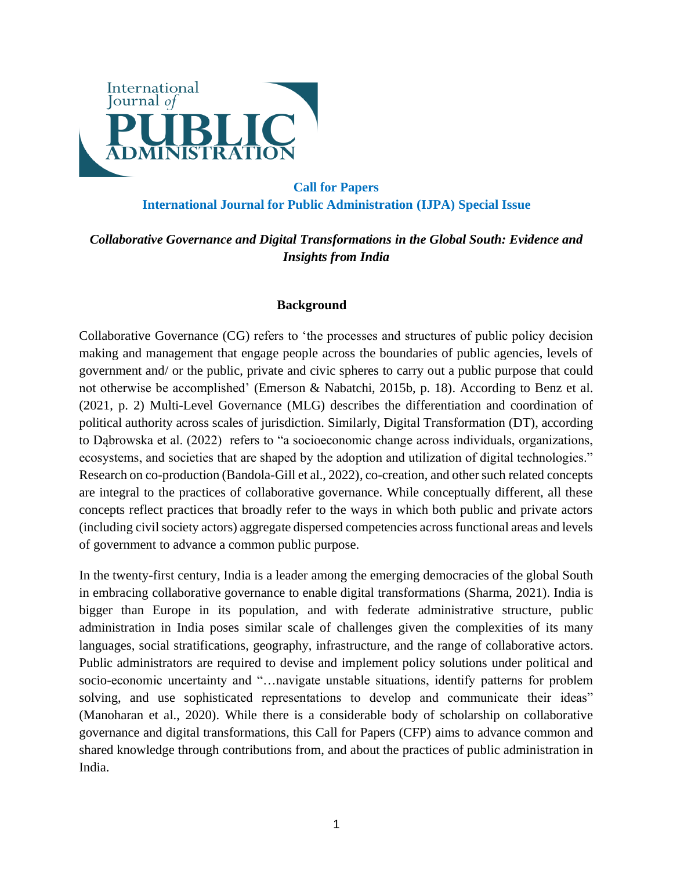

# **Call for Papers International Journal for Public Administration (IJPA) Special Issue**

## *Collaborative Governance and Digital Transformations in the Global South: Evidence and Insights from India*

## **Background**

Collaborative Governance (CG) refers to 'the processes and structures of public policy decision making and management that engage people across the boundaries of public agencies, levels of government and/ or the public, private and civic spheres to carry out a public purpose that could not otherwise be accomplished' (Emerson & Nabatchi, 2015b, p. 18). According to Benz et al. (2021, p. 2) Multi-Level Governance (MLG) describes the differentiation and coordination of political authority across scales of jurisdiction. Similarly, Digital Transformation (DT), according to Dąbrowska et al. (2022) refers to "a socioeconomic change across individuals, organizations, ecosystems, and societies that are shaped by the adoption and utilization of digital technologies." Research on co-production (Bandola-Gill et al., 2022), co-creation, and other such related concepts are integral to the practices of collaborative governance. While conceptually different, all these concepts reflect practices that broadly refer to the ways in which both public and private actors (including civil society actors) aggregate dispersed competencies across functional areas and levels of government to advance a common public purpose.

In the twenty-first century, India is a leader among the emerging democracies of the global South in embracing collaborative governance to enable digital transformations (Sharma, 2021). India is bigger than Europe in its population, and with federate administrative structure, public administration in India poses similar scale of challenges given the complexities of its many languages, social stratifications, geography, infrastructure, and the range of collaborative actors. Public administrators are required to devise and implement policy solutions under political and socio-economic uncertainty and "…navigate unstable situations, identify patterns for problem solving, and use sophisticated representations to develop and communicate their ideas" (Manoharan et al., 2020). While there is a considerable body of scholarship on collaborative governance and digital transformations, this Call for Papers (CFP) aims to advance common and shared knowledge through contributions from, and about the practices of public administration in India.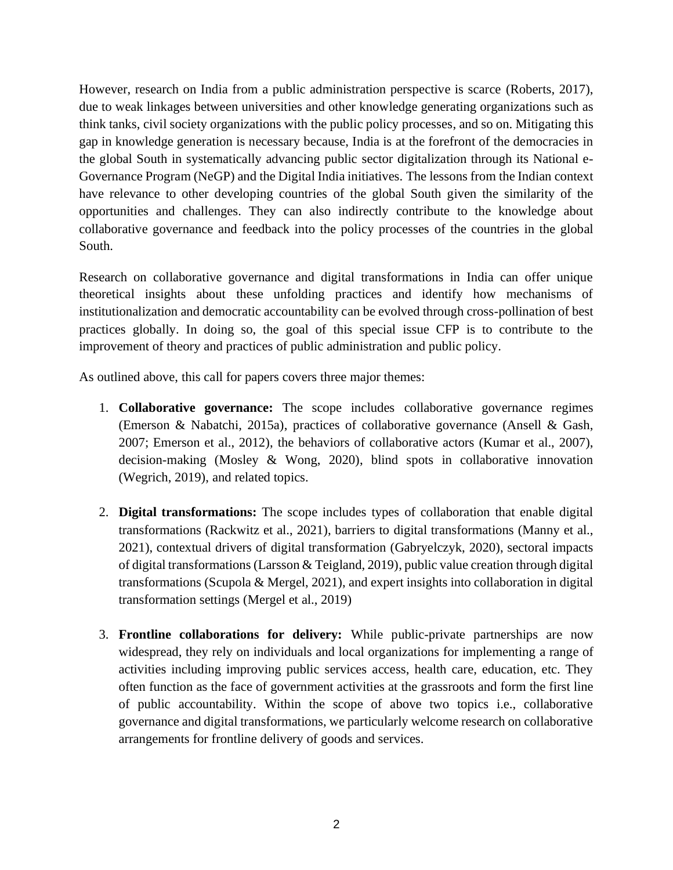However, research on India from a public administration perspective is scarce (Roberts, 2017), due to weak linkages between universities and other knowledge generating organizations such as think tanks, civil society organizations with the public policy processes, and so on. Mitigating this gap in knowledge generation is necessary because, India is at the forefront of the democracies in the global South in systematically advancing public sector digitalization through its National e-Governance Program (NeGP) and the Digital India initiatives. The lessons from the Indian context have relevance to other developing countries of the global South given the similarity of the opportunities and challenges. They can also indirectly contribute to the knowledge about collaborative governance and feedback into the policy processes of the countries in the global South.

Research on collaborative governance and digital transformations in India can offer unique theoretical insights about these unfolding practices and identify how mechanisms of institutionalization and democratic accountability can be evolved through cross-pollination of best practices globally. In doing so, the goal of this special issue CFP is to contribute to the improvement of theory and practices of public administration and public policy.

As outlined above, this call for papers covers three major themes:

- 1. **Collaborative governance:** The scope includes collaborative governance regimes (Emerson & Nabatchi, 2015a), practices of collaborative governance (Ansell & Gash, 2007; Emerson et al., 2012), the behaviors of collaborative actors (Kumar et al., 2007), decision-making (Mosley & Wong, 2020), blind spots in collaborative innovation (Wegrich, 2019), and related topics.
- 2. **Digital transformations:** The scope includes types of collaboration that enable digital transformations (Rackwitz et al., 2021), barriers to digital transformations (Manny et al., 2021), contextual drivers of digital transformation (Gabryelczyk, 2020), sectoral impacts of digital transformations (Larsson & Teigland, 2019), public value creation through digital transformations (Scupola & Mergel, 2021), and expert insights into collaboration in digital transformation settings (Mergel et al., 2019)
- 3. **Frontline collaborations for delivery:** While public-private partnerships are now widespread, they rely on individuals and local organizations for implementing a range of activities including improving public services access, health care, education, etc. They often function as the face of government activities at the grassroots and form the first line of public accountability. Within the scope of above two topics i.e., collaborative governance and digital transformations, we particularly welcome research on collaborative arrangements for frontline delivery of goods and services.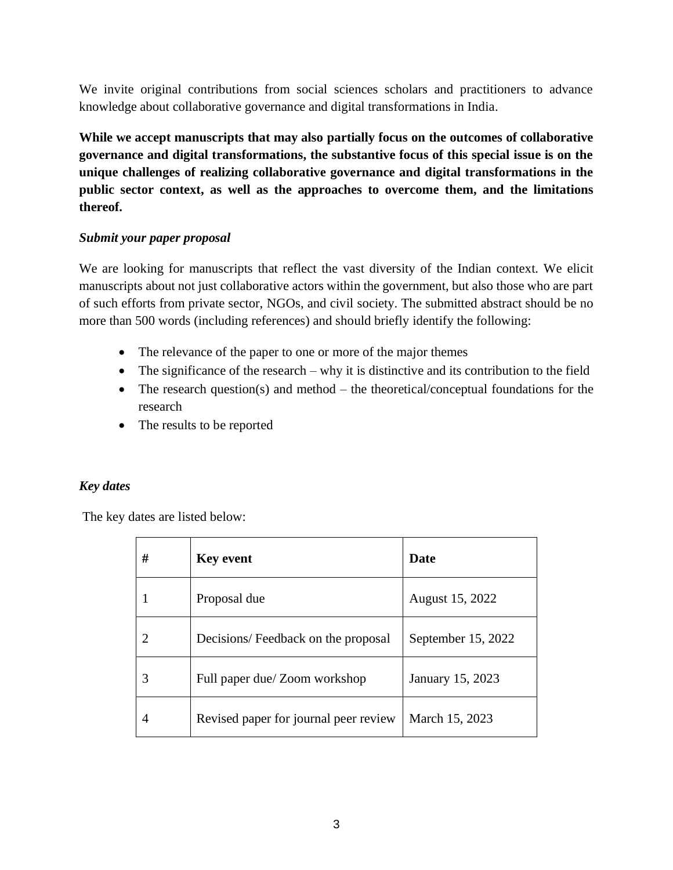We invite original contributions from social sciences scholars and practitioners to advance knowledge about collaborative governance and digital transformations in India.

**While we accept manuscripts that may also partially focus on the outcomes of collaborative governance and digital transformations, the substantive focus of this special issue is on the unique challenges of realizing collaborative governance and digital transformations in the public sector context, as well as the approaches to overcome them, and the limitations thereof.**

## *Submit your paper proposal*

We are looking for manuscripts that reflect the vast diversity of the Indian context. We elicit manuscripts about not just collaborative actors within the government, but also those who are part of such efforts from private sector, NGOs, and civil society. The submitted abstract should be no more than 500 words (including references) and should briefly identify the following:

- The relevance of the paper to one or more of the major themes
- The significance of the research why it is distinctive and its contribution to the field
- The research question(s) and method the theoretical/conceptual foundations for the research
- The results to be reported

## *Key dates*

The key dates are listed below:

| # | <b>Key event</b>                      | <b>Date</b>        |
|---|---------------------------------------|--------------------|
|   | Proposal due                          | August 15, 2022    |
| 2 | Decisions/Feedback on the proposal    | September 15, 2022 |
| 3 | Full paper due/ Zoom workshop         | January 15, 2023   |
| 4 | Revised paper for journal peer review | March 15, 2023     |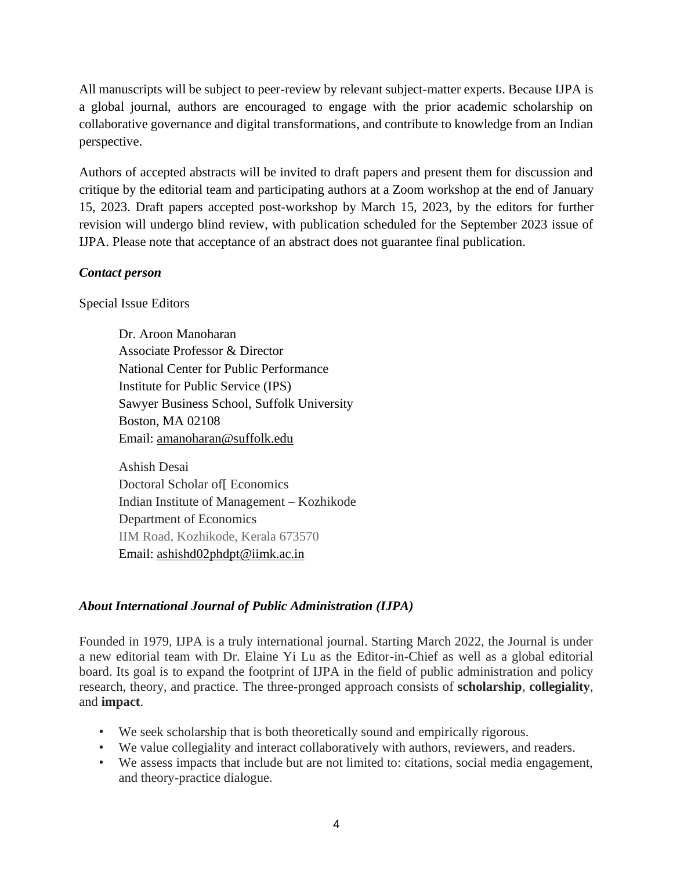All manuscripts will be subject to peer-review by relevant subject-matter experts. Because IJPA is a global journal, authors are encouraged to engage with the prior academic scholarship on collaborative governance and digital transformations, and contribute to knowledge from an Indian perspective.

Authors of accepted abstracts will be invited to draft papers and present them for discussion and critique by the editorial team and participating authors at a Zoom workshop at the end of January 15, 2023. Draft papers accepted post-workshop by March 15, 2023, by the editors for further revision will undergo blind review, with publication scheduled for the September 2023 issue of IJPA. Please note that acceptance of an abstract does not guarantee final publication.

#### *Contact person*

Special Issue Editors

Dr. Aroon Manoharan Associate Professor & Director National Center for Public Performance Institute for Public Service (IPS) Sawyer Business School, Suffolk University Boston, MA 02108 Email: [amanoharan@suffolk.edu](mailto:amanoharan@suffolk.edu)

Ashish Desai Doctoral Scholar of[ Economics Indian Institute of Management – Kozhikode Department of Economics IIM Road, Kozhikode, Kerala 673570 Email: [ashishd02phdpt@iimk.ac.in](mailto:ashishd02phdpt@iimk.ac.in)

#### *About International Journal of Public Administration (IJPA)*

Founded in 1979, IJPA is a truly international journal. Starting March 2022, the Journal is under a new editorial team with Dr. Elaine Yi Lu as the Editor-in-Chief as well as a global editorial board. Its goal is to expand the footprint of IJPA in the field of public administration and policy research, theory, and practice. The three-pronged approach consists of **scholarship**, **collegiality**, and **impact**.

- We seek scholarship that is both theoretically sound and empirically rigorous.
- We value collegiality and interact collaboratively with authors, reviewers, and readers.
- We assess impacts that include but are not limited to: citations, social media engagement, and theory-practice dialogue.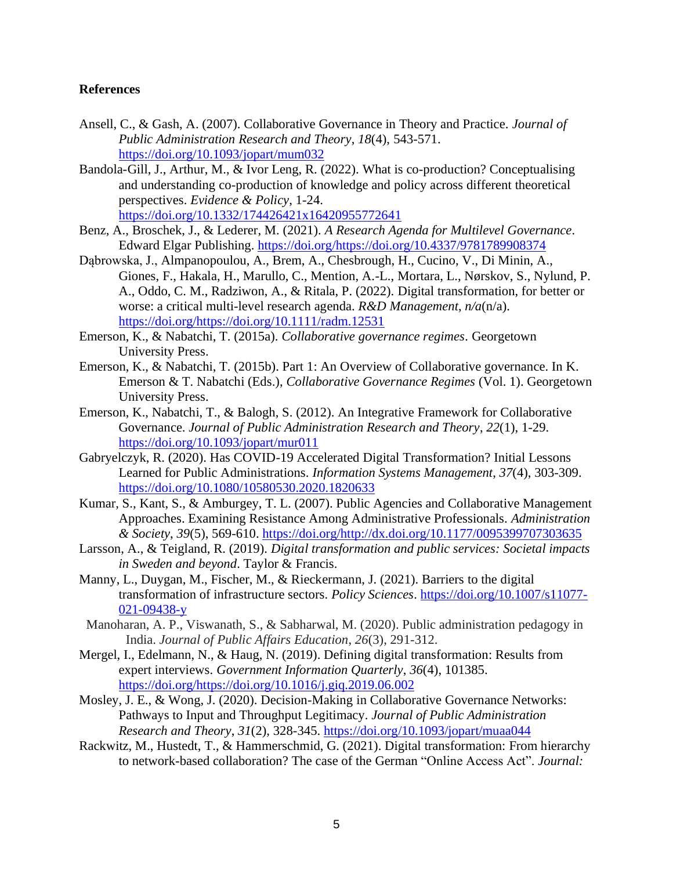## **References**

- Ansell, C., & Gash, A. (2007). Collaborative Governance in Theory and Practice. *Journal of Public Administration Research and Theory*, *18*(4), 543-571. <https://doi.org/10.1093/jopart/mum032>
- Bandola-Gill, J., Arthur, M., & Ivor Leng, R. (2022). What is co-production? Conceptualising and understanding co-production of knowledge and policy across different theoretical perspectives. *Evidence & Policy*, 1-24. <https://doi.org/10.1332/174426421x16420955772641>
- Benz, A., Broschek, J., & Lederer, M. (2021). *A Research Agenda for Multilevel Governance*. Edward Elgar Publishing. [https://doi.org/https://doi.org/10.4337/9781789908374](https://doi.org/https:/doi.org/10.4337/9781789908374)
- Dąbrowska, J., Almpanopoulou, A., Brem, A., Chesbrough, H., Cucino, V., Di Minin, A., Giones, F., Hakala, H., Marullo, C., Mention, A.-L., Mortara, L., Nørskov, S., Nylund, P. A., Oddo, C. M., Radziwon, A., & Ritala, P. (2022). Digital transformation, for better or worse: a critical multi-level research agenda. *R&D Management*, *n/a*(n/a). [https://doi.org/https://doi.org/10.1111/radm.12531](https://doi.org/https:/doi.org/10.1111/radm.12531)
- Emerson, K., & Nabatchi, T. (2015a). *Collaborative governance regimes*. Georgetown University Press.
- Emerson, K., & Nabatchi, T. (2015b). Part 1: An Overview of Collaborative governance. In K. Emerson & T. Nabatchi (Eds.), *Collaborative Governance Regimes* (Vol. 1). Georgetown University Press.
- Emerson, K., Nabatchi, T., & Balogh, S. (2012). An Integrative Framework for Collaborative Governance. *Journal of Public Administration Research and Theory*, *22*(1), 1-29. <https://doi.org/10.1093/jopart/mur011>
- Gabryelczyk, R. (2020). Has COVID-19 Accelerated Digital Transformation? Initial Lessons Learned for Public Administrations. *Information Systems Management*, *37*(4), 303-309. <https://doi.org/10.1080/10580530.2020.1820633>
- Kumar, S., Kant, S., & Amburgey, T. L. (2007). Public Agencies and Collaborative Management Approaches. Examining Resistance Among Administrative Professionals. *Administration & Society*, *39*(5), 569-610. [https://doi.org/http://dx.doi.org/10.1177/0095399707303635](https://doi.org/http:/dx.doi.org/10.1177/0095399707303635)
- Larsson, A., & Teigland, R. (2019). *Digital transformation and public services: Societal impacts in Sweden and beyond*. Taylor & Francis.
- Manny, L., Duygan, M., Fischer, M., & Rieckermann, J. (2021). Barriers to the digital transformation of infrastructure sectors. *Policy Sciences*. [https://doi.org/10.1007/s11077-](https://doi.org/10.1007/s11077-021-09438-y) [021-09438-y](https://doi.org/10.1007/s11077-021-09438-y)
- Manoharan, A. P., Viswanath, S., & Sabharwal, M. (2020). Public administration pedagogy in India. *Journal of Public Affairs Education*, *26*(3), 291-312.
- Mergel, I., Edelmann, N., & Haug, N. (2019). Defining digital transformation: Results from expert interviews. *Government Information Quarterly*, *36*(4), 101385. [https://doi.org/https://doi.org/10.1016/j.giq.2019.06.002](https://doi.org/https:/doi.org/10.1016/j.giq.2019.06.002)
- Mosley, J. E., & Wong, J. (2020). Decision-Making in Collaborative Governance Networks: Pathways to Input and Throughput Legitimacy. *Journal of Public Administration Research and Theory*, *31*(2), 328-345.<https://doi.org/10.1093/jopart/muaa044>
- Rackwitz, M., Hustedt, T., & Hammerschmid, G. (2021). Digital transformation: From hierarchy to network-based collaboration? The case of the German "Online Access Act". *Journal:*